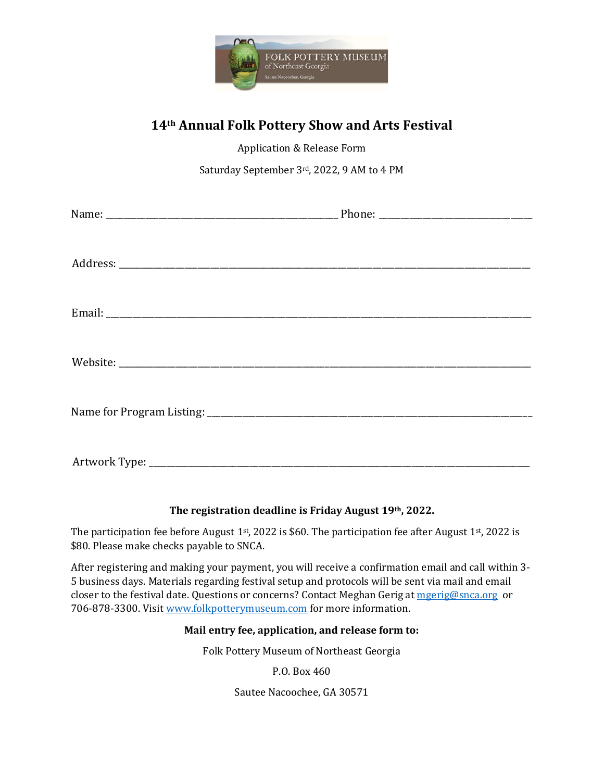

## **14th Annual Folk Pottery Show and Arts Festival**

Application & Release Form

Saturday September 3rd, 2022, 9 AM to 4 PM

## **The registration deadline is Friday August 19th, 2022.**

The participation fee before August 1st, 2022 is \$60. The participation fee after August 1st, 2022 is \$80. Please make checks payable to SNCA.

After registering and making your payment, you will receive a confirmation email and call within 3- 5 business days. Materials regarding festival setup and protocols will be sent via mail and email closer to the festival date. Questions or concerns? Contact Meghan Gerig a[t mgerig@snca.org](mailto:mgerig@snca.org) or 706-878-3300. Visi[t www.folkpotterymuseum.com](http://www.folkpotterymuseum.com/) for more information.

## **Mail entry fee, application, and release form to:**

Folk Pottery Museum of Northeast Georgia

P.O. Box 460

Sautee Nacoochee, GA 30571